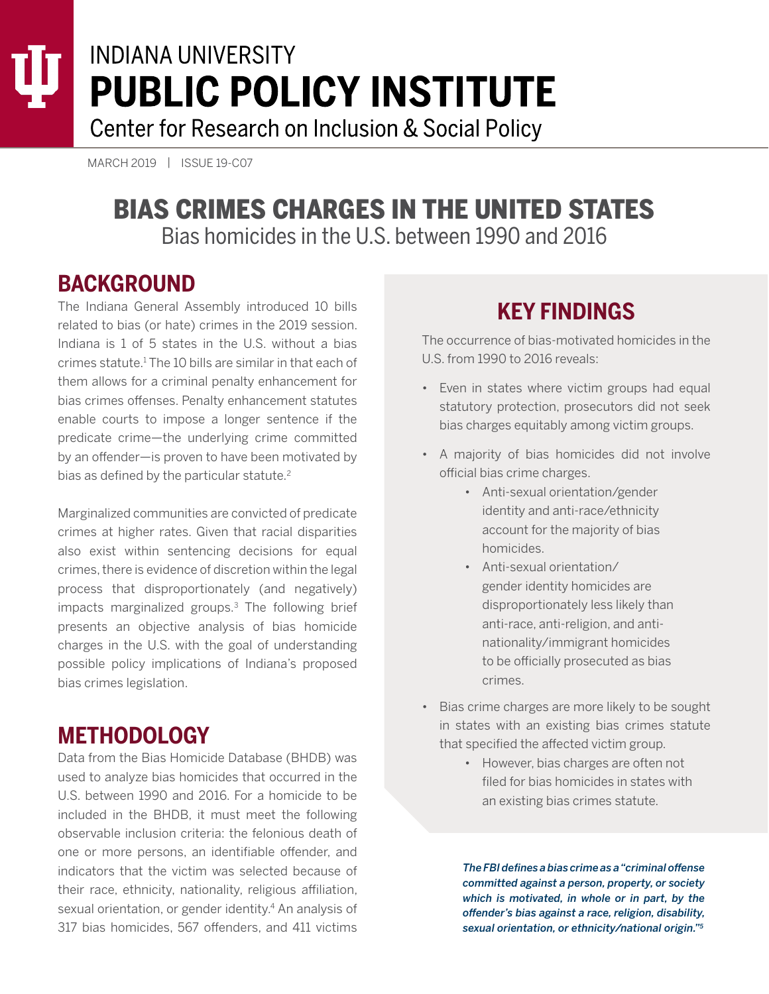# **INDIANA UNIVERSITY PUBLIC POLICY INSTITUTE**

Center for Research on Inclusion & Social Policy

MARCH 2019 | ISSUE 19-C07

### BIAS CRIMES CHARGES IN THE UNITED STATES Bias homicides in the U.S. between 1990 and 2016

### **BACKGROUND**

The Indiana General Assembly introduced 10 bills related to bias (or hate) crimes in the 2019 session. Indiana is 1 of 5 states in the U.S. without a bias crimes statute.1 The 10 bills are similar in that each of them allows for a criminal penalty enhancement for bias crimes offenses. Penalty enhancement statutes enable courts to impose a longer sentence if the predicate crime—the underlying crime committed by an offender—is proven to have been motivated by bias as defined by the particular statute.<sup>2</sup>

Marginalized communities are convicted of predicate crimes at higher rates. Given that racial disparities also exist within sentencing decisions for equal crimes, there is evidence of discretion within the legal process that disproportionately (and negatively) impacts marginalized groups.3 The following brief presents an objective analysis of bias homicide charges in the U.S. with the goal of understanding possible policy implications of Indiana's proposed bias crimes legislation.

## **METHODOLOGY**

Data from the Bias Homicide Database (BHDB) was used to analyze bias homicides that occurred in the U.S. between 1990 and 2016. For a homicide to be included in the BHDB, it must meet the following observable inclusion criteria: the felonious death of one or more persons, an identifiable offender, and indicators that the victim was selected because of their race, ethnicity, nationality, religious affiliation, sexual orientation, or gender identity.<sup>4</sup> An analysis of 317 bias homicides, 567 offenders, and 411 victims

### **KEY FINDINGS**

The occurrence of bias-motivated homicides in the U.S. from 1990 to 2016 reveals:

- Even in states where victim groups had equal statutory protection, prosecutors did not seek bias charges equitably among victim groups.
- A majority of bias homicides did not involve official bias crime charges.
	- Anti-sexual orientation/gender identity and anti-race/ethnicity account for the majority of bias homicides.
	- Anti-sexual orientation/ gender identity homicides are disproportionately less likely than anti-race, anti-religion, and antinationality/immigrant homicides to be officially prosecuted as bias crimes.
- Bias crime charges are more likely to be sought in states with an existing bias crimes statute that specified the affected victim group.
	- However, bias charges are often not filed for bias homicides in states with an existing bias crimes statute.

*The FBI defines a bias crime as a "criminal offense committed against a person, property, or society which is motivated, in whole or in part, by the offender's bias against a race, religion, disability, sexual orientation, or ethnicity/national origin."5*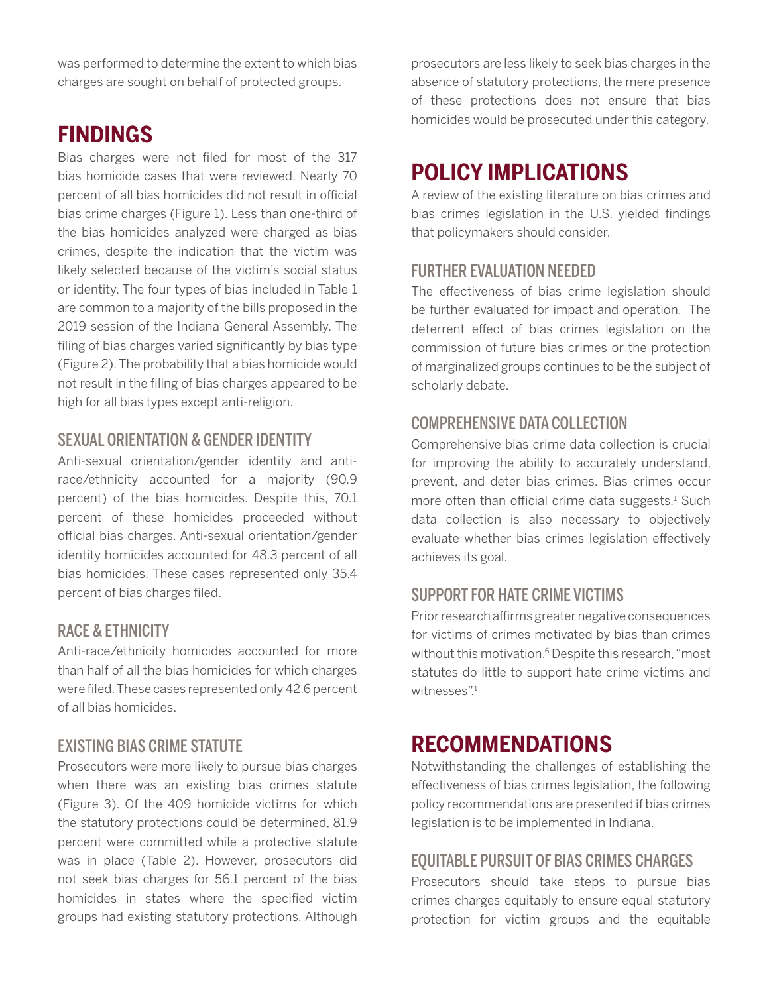was performed to determine the extent to which bias charges are sought on behalf of protected groups.

### **FINDINGS**

Bias charges were not filed for most of the 317 bias homicide cases that were reviewed. Nearly 70 percent of all bias homicides did not result in official bias crime charges (Figure 1). Less than one-third of the bias homicides analyzed were charged as bias crimes, despite the indication that the victim was likely selected because of the victim's social status or identity. The four types of bias included in Table 1 are common to a majority of the bills proposed in the 2019 session of the Indiana General Assembly. The filing of bias charges varied significantly by bias type (Figure 2). The probability that a bias homicide would not result in the filing of bias charges appeared to be high for all bias types except anti-religion.

#### SEXUAL ORIENTATION & GENDER IDENTITY

Anti-sexual orientation/gender identity and antirace/ethnicity accounted for a majority (90.9 percent) of the bias homicides. Despite this, 70.1 percent of these homicides proceeded without official bias charges. Anti-sexual orientation/gender identity homicides accounted for 48.3 percent of all bias homicides. These cases represented only 35.4 percent of bias charges filed.

#### RACE & ETHNICITY

Anti-race/ethnicity homicides accounted for more than half of all the bias homicides for which charges were filed. These cases represented only 42.6 percent of all bias homicides.

#### EXISTING BIAS CRIME STATUTE

Prosecutors were more likely to pursue bias charges when there was an existing bias crimes statute (Figure 3). Of the 409 homicide victims for which the statutory protections could be determined, 81.9 percent were committed while a protective statute was in place (Table 2). However, prosecutors did not seek bias charges for 56.1 percent of the bias homicides in states where the specified victim groups had existing statutory protections. Although

prosecutors are less likely to seek bias charges in the absence of statutory protections, the mere presence of these protections does not ensure that bias homicides would be prosecuted under this category.

### **POLICY IMPLICATIONS**

A review of the existing literature on bias crimes and bias crimes legislation in the U.S. yielded findings that policymakers should consider.

#### FURTHER EVALUATION NEEDED

The effectiveness of bias crime legislation should be further evaluated for impact and operation. The deterrent effect of bias crimes legislation on the commission of future bias crimes or the protection of marginalized groups continues to be the subject of scholarly debate.

#### COMPREHENSIVE DATA COLLECTION

Comprehensive bias crime data collection is crucial for improving the ability to accurately understand, prevent, and deter bias crimes. Bias crimes occur more often than official crime data suggests.<sup>1</sup> Such data collection is also necessary to objectively evaluate whether bias crimes legislation effectively achieves its goal.

#### SUPPORT FOR HATE CRIME VICTIMS

Prior research affirms greater negative consequences for victims of crimes motivated by bias than crimes without this motivation.<sup>6</sup> Despite this research, "most statutes do little to support hate crime victims and witnesses".<sup>1</sup>

### **RECOMMENDATIONS**

Notwithstanding the challenges of establishing the effectiveness of bias crimes legislation, the following policy recommendations are presented if bias crimes legislation is to be implemented in Indiana.

#### EQUITABLE PURSUIT OF BIAS CRIMES CHARGES

Prosecutors should take steps to pursue bias crimes charges equitably to ensure equal statutory protection for victim groups and the equitable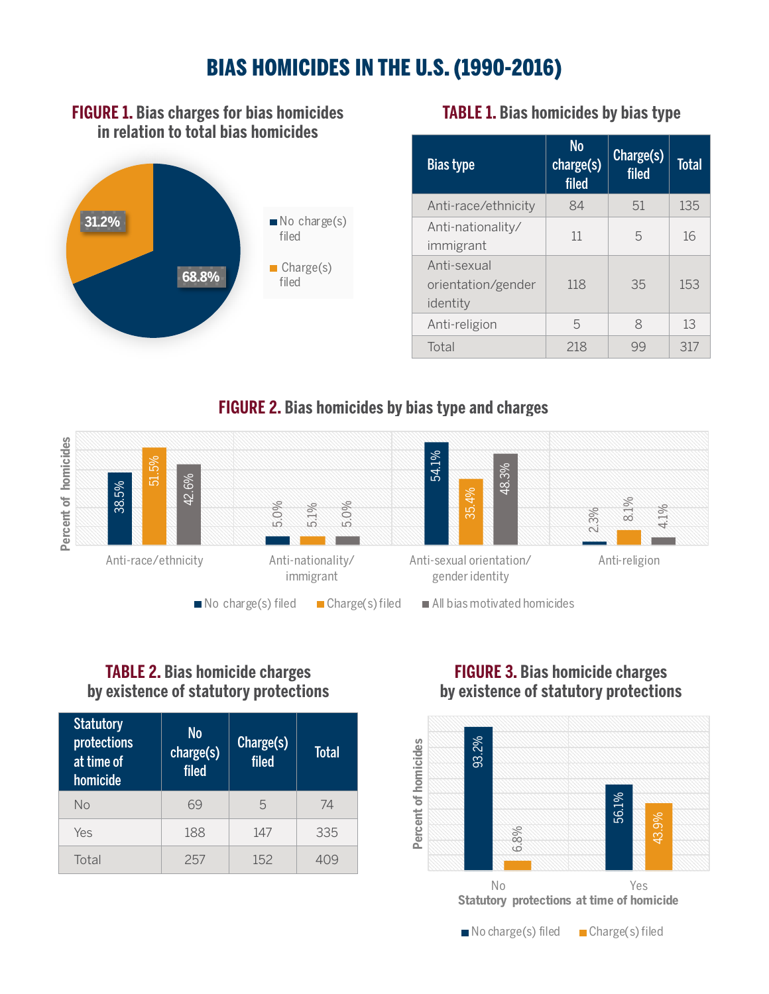### BIAS HOMICIDES IN THE U.S. (1990-2016)

#### **FIGURE 1. Bias charges for bias homicides TABLE 1. Bias homicides by bias type in relation to total bias homicides**



| <b>Bias type</b>                              | <b>No</b><br>charge(s)<br>filed | Charge(s)<br>filed | <b>Total</b> |
|-----------------------------------------------|---------------------------------|--------------------|--------------|
| Anti-race/ethnicity                           | 84                              | 51                 | 135          |
| Anti-nationality/<br>immigrant                | 11                              | 5                  | 16           |
| Anti-sexual<br>orientation/gender<br>identity | 118                             | 35                 | 153          |
| Anti-religion                                 | 5                               | 8                  | 13           |
| Total                                         | 218                             | 99                 | 317          |

#### **FIGURE 2. Bias homicides by bias type and charges**



#### **TABLE 2. Bias homicide charges by existence of statutory protections**

| <b>Statutory</b><br>protections<br>at time of<br>homicide | N <sub>o</sub><br>charge(s)<br>filed <sup>'</sup> | Charge(s)<br>filed | <b>Total</b> |
|-----------------------------------------------------------|---------------------------------------------------|--------------------|--------------|
| Nο                                                        | 69                                                | 5                  | 74           |
| Yes                                                       | 188                                               | 147                | 335          |
| Total                                                     | 257                                               | 152                |              |

#### **FIGURE 3. Bias homicide charges by existence of statutory protections**